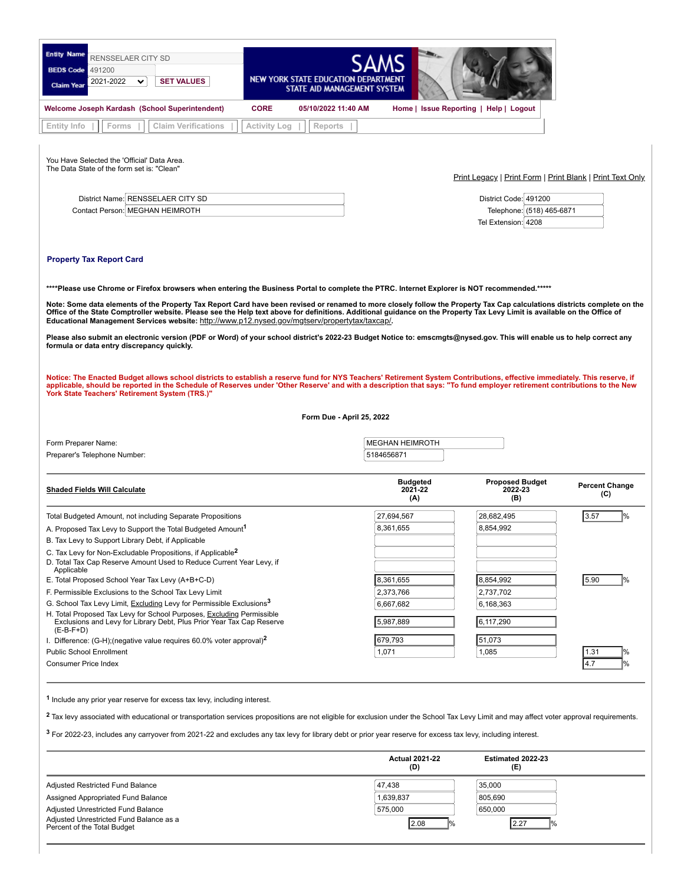| <b>Entity Name</b><br>RENSSELAER CITY SD<br><b>BEDS Code</b><br>491200<br><b>SET VALUES</b><br>2021-2022<br>$\checkmark$<br><b>Claim Year</b>                                                                                                                                                                                                                                                                                                                                                                                                                                                                                                                                                                                                                                                                                                                                                                                                                                                                                                                                                                                                                                                                                              | NEW YORK STATE EDUCATION DE<br>STATE AID MANAGEMENT SYSTEM |                                   |                                                           |                              |  |  |
|--------------------------------------------------------------------------------------------------------------------------------------------------------------------------------------------------------------------------------------------------------------------------------------------------------------------------------------------------------------------------------------------------------------------------------------------------------------------------------------------------------------------------------------------------------------------------------------------------------------------------------------------------------------------------------------------------------------------------------------------------------------------------------------------------------------------------------------------------------------------------------------------------------------------------------------------------------------------------------------------------------------------------------------------------------------------------------------------------------------------------------------------------------------------------------------------------------------------------------------------|------------------------------------------------------------|-----------------------------------|-----------------------------------------------------------|------------------------------|--|--|
| Welcome Joseph Kardash (School Superintendent)                                                                                                                                                                                                                                                                                                                                                                                                                                                                                                                                                                                                                                                                                                                                                                                                                                                                                                                                                                                                                                                                                                                                                                                             | <b>CORE</b><br>05/10/2022 11:40 AM                         |                                   | Home   Issue Reporting   Help   Logout                    |                              |  |  |
| Entity Info<br>Forms<br><b>Claim Verifications</b>                                                                                                                                                                                                                                                                                                                                                                                                                                                                                                                                                                                                                                                                                                                                                                                                                                                                                                                                                                                                                                                                                                                                                                                         | Activity Log<br>Reports                                    |                                   |                                                           |                              |  |  |
| You Have Selected the 'Official' Data Area.<br>The Data State of the form set is: "Clean"                                                                                                                                                                                                                                                                                                                                                                                                                                                                                                                                                                                                                                                                                                                                                                                                                                                                                                                                                                                                                                                                                                                                                  |                                                            |                                   | Print Legacy   Print Form   Print Blank   Print Text Only |                              |  |  |
| District Name: RENSSELAER CITY SD                                                                                                                                                                                                                                                                                                                                                                                                                                                                                                                                                                                                                                                                                                                                                                                                                                                                                                                                                                                                                                                                                                                                                                                                          |                                                            |                                   | District Code: 491200                                     |                              |  |  |
| Contact Person: MEGHAN HEIMROTH                                                                                                                                                                                                                                                                                                                                                                                                                                                                                                                                                                                                                                                                                                                                                                                                                                                                                                                                                                                                                                                                                                                                                                                                            |                                                            |                                   | Telephone: (518) 465-6871                                 |                              |  |  |
|                                                                                                                                                                                                                                                                                                                                                                                                                                                                                                                                                                                                                                                                                                                                                                                                                                                                                                                                                                                                                                                                                                                                                                                                                                            |                                                            |                                   | Tel Extension: 4208                                       |                              |  |  |
| ****Please use Chrome or Firefox browsers when entering the Business Portal to complete the PTRC. Internet Explorer is NOT recommended.*****<br>Note: Some data elements of the Property Tax Report Card have been revised or renamed to more closely follow the Property Tax Cap calculations districts complete on the<br>Office of the State Comptroller website. Please see the Help text above for definitions. Additional guidance on the Property Tax Levy Limit is available on the Office of<br>Educational Management Services website: http://www.p12.nysed.gov/mgtserv/propertytax/taxcap/.<br>Please also submit an electronic version (PDF or Word) of your school district's 2022-23 Budget Notice to: emscmgts@nysed.gov. This will enable us to help correct any<br>formula or data entry discrepancy quickly.<br>Notice: The Enacted Budget allows school districts to establish a reserve fund for NYS Teachers' Retirement System Contributions, effective immediately. This reserve, if<br>applicable, should be reported in the Schedule of Reserves under 'Other Reserve' and with a description that says: "To fund employer retirement contributions to the New<br>York State Teachers' Retirement System (TRS.)" |                                                            |                                   |                                                           |                              |  |  |
|                                                                                                                                                                                                                                                                                                                                                                                                                                                                                                                                                                                                                                                                                                                                                                                                                                                                                                                                                                                                                                                                                                                                                                                                                                            |                                                            |                                   |                                                           |                              |  |  |
|                                                                                                                                                                                                                                                                                                                                                                                                                                                                                                                                                                                                                                                                                                                                                                                                                                                                                                                                                                                                                                                                                                                                                                                                                                            | Form Due - April 25, 2022                                  |                                   |                                                           |                              |  |  |
| Form Preparer Name:                                                                                                                                                                                                                                                                                                                                                                                                                                                                                                                                                                                                                                                                                                                                                                                                                                                                                                                                                                                                                                                                                                                                                                                                                        |                                                            | <b>MEGHAN HEIMROTH</b>            |                                                           |                              |  |  |
| Preparer's Telephone Number:                                                                                                                                                                                                                                                                                                                                                                                                                                                                                                                                                                                                                                                                                                                                                                                                                                                                                                                                                                                                                                                                                                                                                                                                               |                                                            | 5184656871                        |                                                           |                              |  |  |
|                                                                                                                                                                                                                                                                                                                                                                                                                                                                                                                                                                                                                                                                                                                                                                                                                                                                                                                                                                                                                                                                                                                                                                                                                                            |                                                            |                                   |                                                           |                              |  |  |
| <b>Shaded Fields Will Calculate</b>                                                                                                                                                                                                                                                                                                                                                                                                                                                                                                                                                                                                                                                                                                                                                                                                                                                                                                                                                                                                                                                                                                                                                                                                        |                                                            | <b>Budgeted</b><br>2021-22<br>(A) | <b>Proposed Budget</b><br>2022-23<br>(B)                  | <b>Percent Change</b><br>(C) |  |  |
| Total Budgeted Amount, not including Separate Propositions                                                                                                                                                                                                                                                                                                                                                                                                                                                                                                                                                                                                                                                                                                                                                                                                                                                                                                                                                                                                                                                                                                                                                                                 |                                                            | 27,694,567                        | 28,682,495                                                | 3.57                         |  |  |
| A. Proposed Tax Levy to Support the Total Budgeted Amount <sup>1</sup>                                                                                                                                                                                                                                                                                                                                                                                                                                                                                                                                                                                                                                                                                                                                                                                                                                                                                                                                                                                                                                                                                                                                                                     |                                                            | 8,361,655                         | 8,854,992                                                 |                              |  |  |
| B. Tax Levy to Support Library Debt, if Applicable                                                                                                                                                                                                                                                                                                                                                                                                                                                                                                                                                                                                                                                                                                                                                                                                                                                                                                                                                                                                                                                                                                                                                                                         |                                                            |                                   |                                                           |                              |  |  |
| C. Tax Levy for Non-Excludable Propositions, if Applicable <sup>2</sup><br>D. Total Tax Cap Reserve Amount Used to Reduce Current Year Levy, if<br>Applicable                                                                                                                                                                                                                                                                                                                                                                                                                                                                                                                                                                                                                                                                                                                                                                                                                                                                                                                                                                                                                                                                              |                                                            |                                   |                                                           |                              |  |  |
| E. Total Proposed School Year Tax Levy (A+B+C-D)                                                                                                                                                                                                                                                                                                                                                                                                                                                                                                                                                                                                                                                                                                                                                                                                                                                                                                                                                                                                                                                                                                                                                                                           |                                                            | 8,361,655                         | 8,854,992                                                 | 5.90                         |  |  |
| F. Permissible Exclusions to the School Tax Levy Limit                                                                                                                                                                                                                                                                                                                                                                                                                                                                                                                                                                                                                                                                                                                                                                                                                                                                                                                                                                                                                                                                                                                                                                                     |                                                            | 2,373,766                         | 2,737,702                                                 |                              |  |  |
| G. School Tax Levy Limit, Excluding Levy for Permissible Exclusions <sup>3</sup>                                                                                                                                                                                                                                                                                                                                                                                                                                                                                                                                                                                                                                                                                                                                                                                                                                                                                                                                                                                                                                                                                                                                                           |                                                            | 6,667,682                         | 6,168,363                                                 |                              |  |  |
| H. Total Proposed Tax Levy for School Purposes, Excluding Permissible<br>Exclusions and Levy for Library Debt, Plus Prior Year Tax Cap Reserve<br>$(E-B-F+D)$                                                                                                                                                                                                                                                                                                                                                                                                                                                                                                                                                                                                                                                                                                                                                                                                                                                                                                                                                                                                                                                                              |                                                            | 5,987,889                         | 6,117,290                                                 |                              |  |  |
| I. Difference: $(G-H)$ ; (negative value requires 60.0% voter approval) <sup>2</sup>                                                                                                                                                                                                                                                                                                                                                                                                                                                                                                                                                                                                                                                                                                                                                                                                                                                                                                                                                                                                                                                                                                                                                       |                                                            | 679,793                           | 51,073                                                    |                              |  |  |
| <b>Public School Enrollment</b>                                                                                                                                                                                                                                                                                                                                                                                                                                                                                                                                                                                                                                                                                                                                                                                                                                                                                                                                                                                                                                                                                                                                                                                                            |                                                            | 1,071                             | 1,085                                                     | 1.31                         |  |  |
| Consumer Price Index                                                                                                                                                                                                                                                                                                                                                                                                                                                                                                                                                                                                                                                                                                                                                                                                                                                                                                                                                                                                                                                                                                                                                                                                                       |                                                            |                                   |                                                           | 4.7                          |  |  |
| <sup>1</sup> Include any prior year reserve for excess tax levy, including interest.<br><sup>2</sup> Tax levy associated with educational or transportation services propositions are not eligible for exclusion under the School Tax Levy Limit and may affect voter approval requirements.<br><sup>3</sup> For 2022-23, includes any carryover from 2021-22 and excludes any tax levy for library debt or prior year reserve for excess tax levy, including interest.                                                                                                                                                                                                                                                                                                                                                                                                                                                                                                                                                                                                                                                                                                                                                                    |                                                            |                                   |                                                           |                              |  |  |

|                                                                        | (D)       | (E)     |
|------------------------------------------------------------------------|-----------|---------|
| Adjusted Restricted Fund Balance                                       | 47.438    | 35,000  |
| Assigned Appropriated Fund Balance                                     | 1,639,837 | 805.690 |
| Adjusted Unrestricted Fund Balance                                     | 575,000   | 650,000 |
| Adjusted Unrestricted Fund Balance as a<br>Percent of the Total Budget | 2.08      | 12.27   |